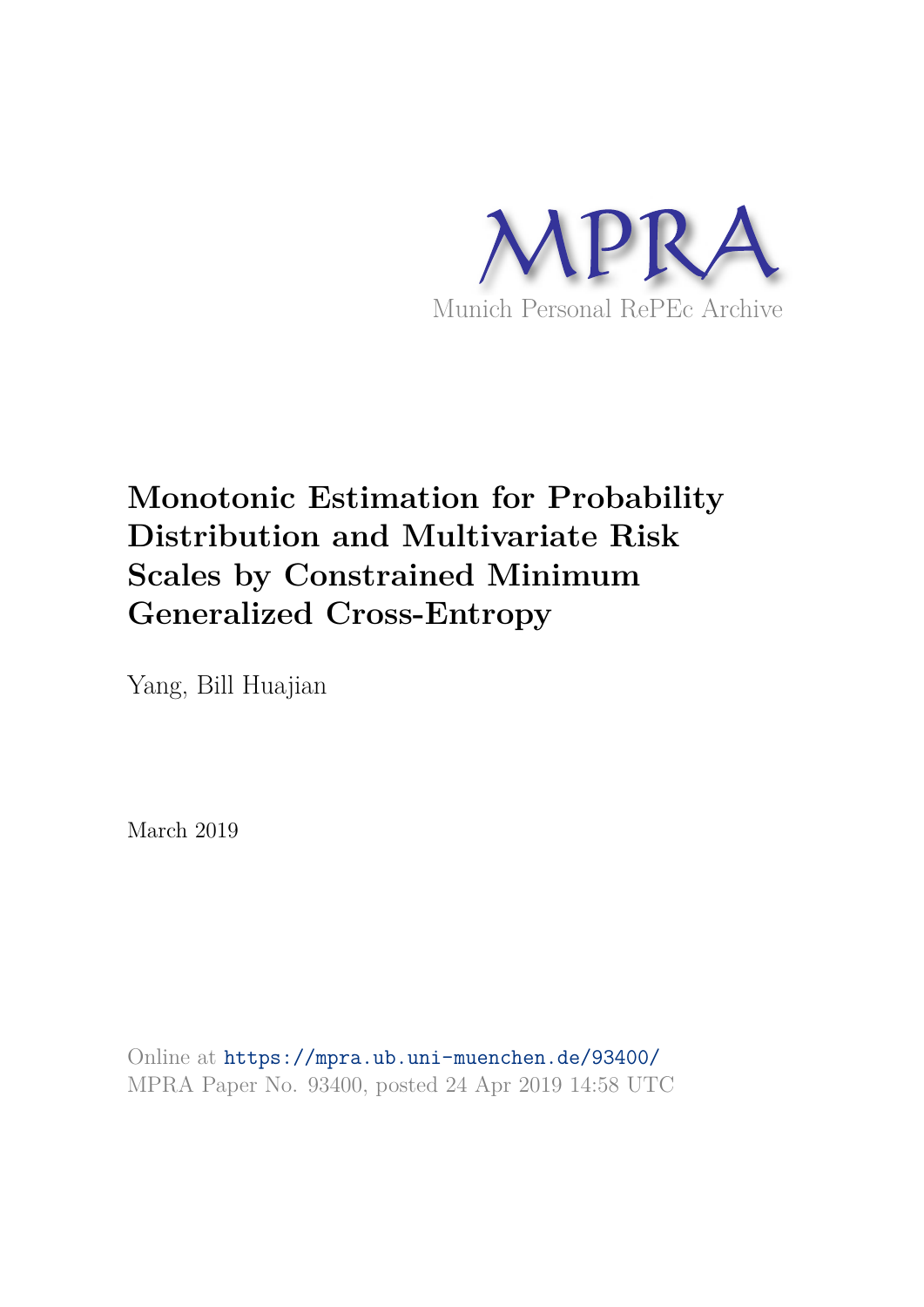

# **Monotonic Estimation for Probability Distribution and Multivariate Risk Scales by Constrained Minimum Generalized Cross-Entropy**

Yang, Bill Huajian

March 2019

Online at https://mpra.ub.uni-muenchen.de/93400/ MPRA Paper No. 93400, posted 24 Apr 2019 14:58 UTC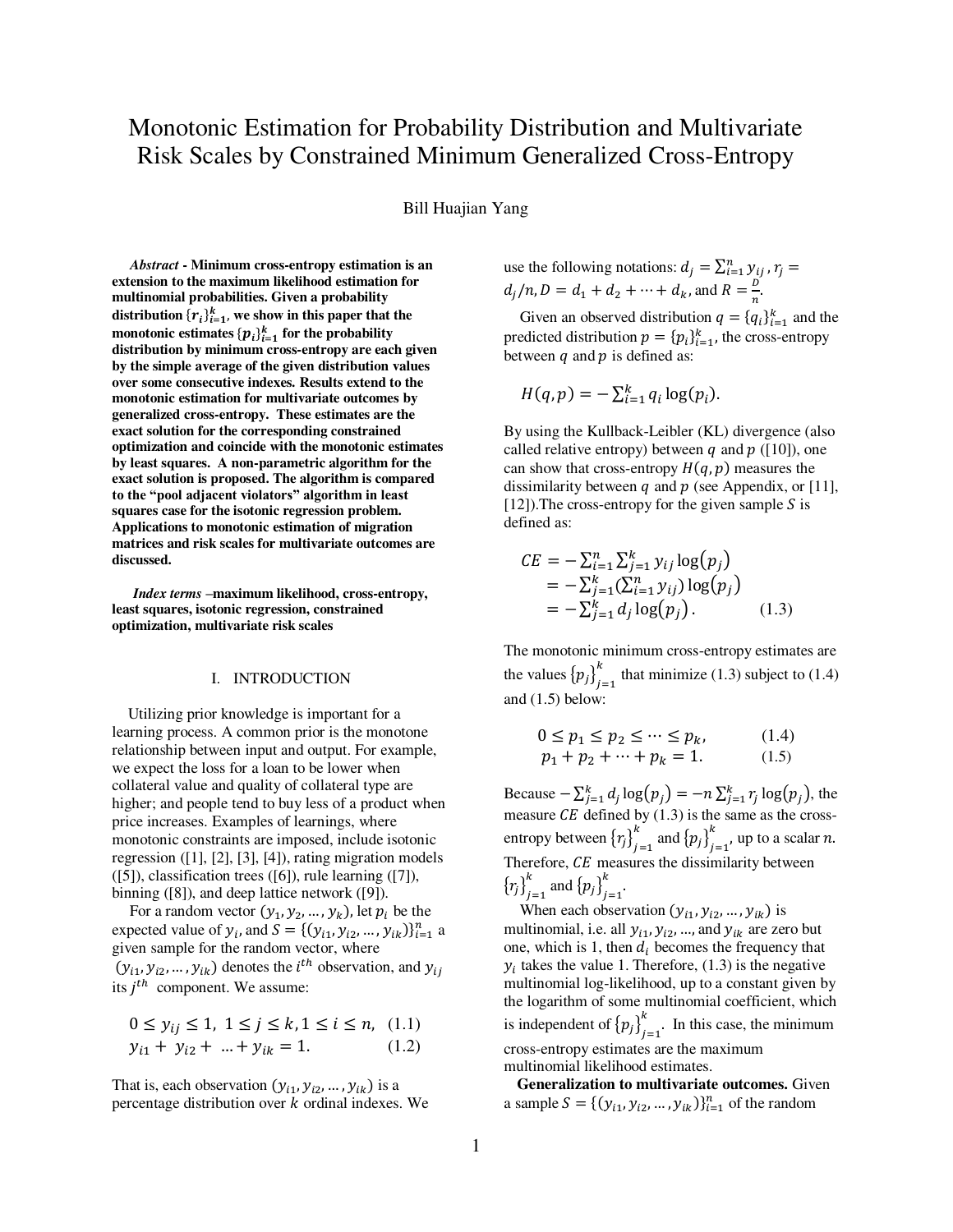# Monotonic Estimation for Probability Distribution and Multivariate Risk Scales by Constrained Minimum Generalized Cross-Entropy

Bill Huajian Yang

*Abstract* **- Minimum cross-entropy estimation is an extension to the maximum likelihood estimation for multinomial probabilities. Given a probability**  distribution  $\{r_i\}_{i=1}^k$ , we show in this paper that the **monotonic estimates**  ${p_i}_{i=1}^k$  **for the probability distribution by minimum cross-entropy are each given by the simple average of the given distribution values over some consecutive indexes. Results extend to the monotonic estimation for multivariate outcomes by generalized cross-entropy. These estimates are the exact solution for the corresponding constrained optimization and coincide with the monotonic estimates by least squares. A non-parametric algorithm for the exact solution is proposed. The algorithm is compared to the "pool adjacent violators" algorithm in least squares case for the isotonic regression problem. Applications to monotonic estimation of migration matrices and risk scales for multivariate outcomes are discussed.**

*Index terms* **–maximum likelihood, cross-entropy, least squares, isotonic regression, constrained optimization, multivariate risk scales** 

#### I. INTRODUCTION

 Utilizing prior knowledge is important for a learning process. A common prior is the monotone relationship between input and output. For example, we expect the loss for a loan to be lower when collateral value and quality of collateral type are higher; and people tend to buy less of a product when price increases. Examples of learnings, where monotonic constraints are imposed, include isotonic regression ([1], [2], [3], [4]), rating migration models  $([5])$ , classification trees  $([6])$ , rule learning  $([7])$ , binning ([8]), and deep lattice network ([9]).

For a random vector  $(y_1, y_2, ..., y_k)$ , let  $p_i$  be the expected value of  $y_i$ , and  $S = \{ (y_{i1}, y_{i2}, ..., y_{ik}) \}_{i=1}^n$  a given sample for the random vector, where  $(y_{i1}, y_{i2}, ..., y_{ik})$  denotes the  $i^{th}$  observation, and  $y_{ij}$ its  $j^{th}$  component. We assume:

$$
0 \le y_{ij} \le 1, \ 1 \le j \le k, \ 1 \le i \le n, \ (1.1)
$$
  

$$
y_{i1} + y_{i2} + \dots + y_{ik} = 1. \qquad (1.2)
$$

That is, each observation  $(y_{i1}, y_{i2}, ..., y_{ik})$  is a percentage distribution over  $k$  ordinal indexes. We use the following notations:  $d_j = \sum_{i=1}^n y_{ij}$ ,  $r_j =$  $d_j/n, D = d_1 + d_2 + \dots + d_k$ , and  $R = \frac{D}{n}$ .

Given an observed distribution  $q = \{q_i\}_{i=1}^k$  and the predicted distribution  $p = {p_i}_{i=1}^k$ , the cross-entropy between  $q$  and  $p$  is defined as:

$$
H(q,p)=-\sum_{i=1}^k q_i \log(p_i).
$$

By using the Kullback-Leibler (KL) divergence (also called relative entropy) between  $q$  and  $p$  ([10]), one can show that cross-entropy  $H(q, p)$  measures the dissimilarity between  $q$  and  $p$  (see Appendix, or [11], [12]). The cross-entropy for the given sample  $S$  is defined as:

$$
CE = -\sum_{i=1}^{n} \sum_{j=1}^{k} y_{ij} \log(p_j)
$$
  
=  $-\sum_{j=1}^{k} (\sum_{i=1}^{n} y_{ij}) \log(p_j)$   
=  $-\sum_{j=1}^{k} d_j \log(p_j)$ . (1.3)

The monotonic minimum cross-entropy estimates are the values  ${p_j}_{j=1}^n$  $t_{t-1}^{k}$  that minimize (1.3) subject to (1.4) and (1.5) below:

$$
0 \le p_1 \le p_2 \le \dots \le p_k, p_1 + p_2 + \dots + p_k = 1.
$$
 (1.4)

Because  $-\sum_{j=1}^{k} d_j \log(p_j) = -n \sum_{j=1}^{k} r_j \log(p_j)$ , the measure  $\mathbb{C}E$  defined by (1.3) is the same as the crossentropy between  ${r_j}_{j=1}^n$  $_{j=1}^{k}$  and  ${p_j}_{j=1}^{k}$  $\sum_{i=1}^{k}$ , up to a scalar *n*. Therefore,  $\overline{CE}$  measures the dissimilarity between  ${r_j}_{j=1}$  $_{j=1}^{k}$  and  ${p_j}_{j=1}^{k}$  $\frac{k}{i=1}$ .

When each observation  $(y_{i1}, y_{i2}, ..., y_{ik})$  is multinomial, i.e. all  $y_{i1}$ ,  $y_{i2}$ , ..., and  $y_{ik}$  are zero but one, which is 1, then  $d_i$  becomes the frequency that  $y_i$  takes the value 1. Therefore, (1.3) is the negative multinomial log-likelihood, up to a constant given by the logarithm of some multinomial coefficient, which is independent of  ${p_j}_{j=1}^n$  $\sum_{i=1}^{k}$ . In this case, the minimum cross-entropy estimates are the maximum multinomial likelihood estimates.

 **Generalization to multivariate outcomes.** Given a sample  $S = \{ (y_{i1}, y_{i2}, ..., y_{ik}) \}_{i=1}^n$  of the random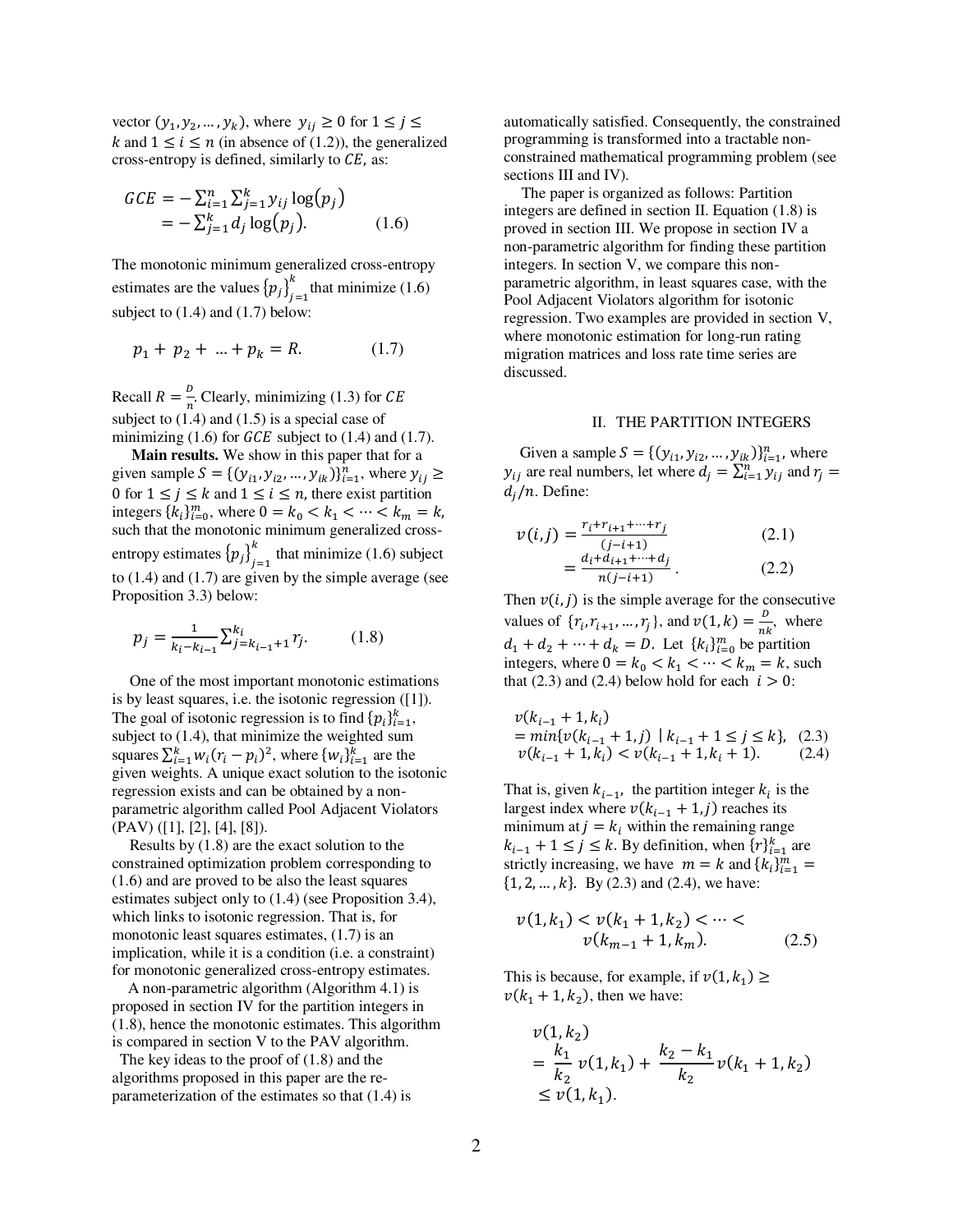vector  $(y_1, y_2, ..., y_k)$ , where  $y_{ij} \ge 0$  for  $1 \le j \le k$ k and  $1 \le i \le n$  (in absence of (1.2)), the generalized cross-entropy is defined, similarly to  $\mathcal{C}E$ , as:

$$
GCE = -\sum_{i=1}^{n} \sum_{j=1}^{k} y_{ij} \log(p_j)
$$
  
=  $-\sum_{j=1}^{k} d_j \log(p_j)$ . (1.6)

The monotonic minimum generalized cross-entropy estimates are the values  ${p_j}_{j=1}^n$  $\sum_{i=1}^{k}$  that minimize (1.6) subject to  $(1.4)$  and  $(1.7)$  below:

$$
p_1 + p_2 + \dots + p_k = R. \tag{1.7}
$$

Recall  $R = \frac{b}{n}$ . Clearly, minimizing (1.3) for *CE* subject to  $(1.4)$  and  $(1.5)$  is a special case of minimizing  $(1.6)$  for *GCE* subject to  $(1.4)$  and  $(1.7)$ .

 **Main results.** We show in this paper that for a given sample  $S = \{ (y_{i1}, y_{i2}, ..., y_{ik}) \}_{i=1}^n$ , where  $y_{ij} \ge$ 0 for  $1 \le j \le k$  and  $1 \le i \le n$ , there exist partition integers  $\{k_i\}_{i=0}^m$ , where  $0 = k_0 < k_1 < \cdots < k_m = k$ , such that the monotonic minimum generalized crossentropy estimates  ${p_j}_{j=1}^n$  $t_{t-1}^{k}$  that minimize (1.6) subject to (1.4) and (1.7) are given by the simple average (see Proposition 3.3) below:

$$
p_j = \frac{1}{k_i - k_{i-1}} \sum_{j=k_{i-1}+1}^{k_i} r_j.
$$
 (1.8)

One of the most important monotonic estimations is by least squares, i.e. the isotonic regression ([1]). The goal of isotonic regression is to find  $\{p_i\}_{i=1}^k$ , subject to (1.4), that minimize the weighted sum squares  $\sum_{i=1}^{k} w_i (r_i - p_i)^2$ , where  $\{w_i\}_{i=1}^{k}$  are the given weights. A unique exact solution to the isotonic regression exists and can be obtained by a nonparametric algorithm called Pool Adjacent Violators (PAV) ([1], [2], [4], [8]).

Results by (1.8) are the exact solution to the constrained optimization problem corresponding to (1.6) and are proved to be also the least squares estimates subject only to (1.4) (see Proposition 3.4), which links to isotonic regression. That is, for monotonic least squares estimates, (1.7) is an implication, while it is a condition (i.e. a constraint) for monotonic generalized cross-entropy estimates.

 A non-parametric algorithm (Algorithm 4.1) is proposed in section IV for the partition integers in (1.8), hence the monotonic estimates. This algorithm is compared in section V to the PAV algorithm.

 The key ideas to the proof of (1.8) and the algorithms proposed in this paper are the reparameterization of the estimates so that (1.4) is automatically satisfied. Consequently, the constrained programming is transformed into a tractable nonconstrained mathematical programming problem (see sections III and IV).

The paper is organized as follows: Partition integers are defined in section II. Equation (1.8) is proved in section III. We propose in section IV a non-parametric algorithm for finding these partition integers. In section V, we compare this nonparametric algorithm, in least squares case, with the Pool Adjacent Violators algorithm for isotonic regression. Two examples are provided in section V, where monotonic estimation for long-run rating migration matrices and loss rate time series are discussed.

#### II. THE PARTITION INTEGERS

Given a sample  $S = \{ (y_{i1}, y_{i2}, ..., y_{ik}) \}_{i=1}^n$ , where  $y_{ij}$  are real numbers, let where  $d_j = \sum_{i=1}^n y_{ij}$  and  $r_j =$  $d_i/n$ . Define:

$$
v(i,j) = \frac{r_i + r_{i+1} + \dots + r_j}{(j - i + 1)}
$$
  
= 
$$
\frac{d_i + d_{i+1} + \dots + d_j}{n(j - i + 1)}
$$
. (2.1)

Then  $v(i, j)$  is the simple average for the consecutive values of  $\{r_i, r_{i+1}, ..., r_j\}$ , and  $v(1, k) = \frac{b}{nk}$ , where  $d_1 + d_2 + \cdots + d_k = D.$  Let  $\{k_i\}_{i=0}^m$  be partition integers, where  $0 = k_0 < k_1 < \cdots < k_m = k$ , such that (2.3) and (2.4) below hold for each  $i > 0$ :

$$
\nu(k_{i-1} + 1, k_i)
$$
  
=  $min\{\nu(k_{i-1} + 1, j) | k_{i-1} + 1 \le j \le k\}, (2.3)$   
 $\nu(k_{i-1} + 1, k_i) < \nu(k_{i-1} + 1, k_i + 1).$  (2.4)

That is, given  $k_{i-1}$ , the partition integer  $k_i$  is the largest index where  $v(k_{i-1} + 1, j)$  reaches its minimum at  $j = k_i$  within the remaining range  $k_{i-1} + 1 \le j \le k$ . By definition, when  $\{r\}_{i=1}^k$  are strictly increasing, we have  $m = k$  and  $\{k_i\}_{i=1}^m =$  $\{1, 2, \ldots, k\}$ . By (2.3) and (2.4), we have:

$$
v(1, k_1) < v(k_1 + 1, k_2) < \dots < \\
v(k_{m-1} + 1, k_m). \tag{2.5}
$$

This is because, for example, if  $v(1, k_1) \ge$  $v(k_1 + 1, k_2)$ , then we have:

$$
v(1, k_2)
$$
  
=  $\frac{k_1}{k_2} v(1, k_1) + \frac{k_2 - k_1}{k_2} v(k_1 + 1, k_2)$   
 $\le v(1, k_1).$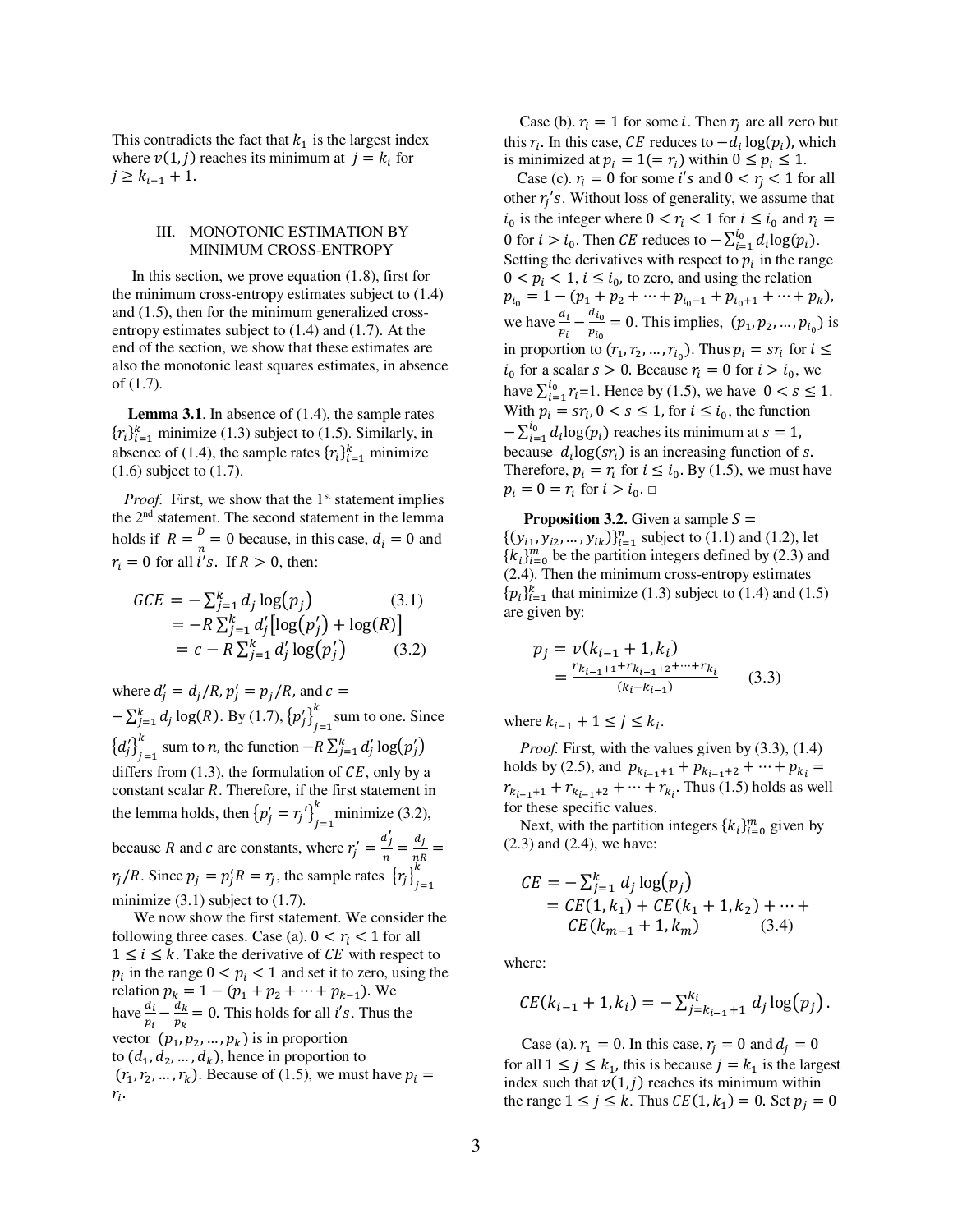This contradicts the fact that  $k_1$  is the largest index where  $v(1, j)$  reaches its minimum at  $j = k_i$  for  $j \geq k_{i-1} + 1$ .

# III. MONOTONIC ESTIMATION BY MINIMUM CROSS-ENTROPY

 In this section, we prove equation (1.8), first for the minimum cross-entropy estimates subject to (1.4) and (1.5), then for the minimum generalized crossentropy estimates subject to (1.4) and (1.7). At the end of the section, we show that these estimates are also the monotonic least squares estimates, in absence of (1.7).

 **Lemma 3.1**. In absence of (1.4), the sample rates  ${r_i}_{i=1}^k$  minimize (1.3) subject to (1.5). Similarly, in absence of (1.4), the sample rates  $\{r_i\}_{i=1}^k$  minimize (1.6) subject to (1.7).

*Proof.* First, we show that the 1<sup>st</sup> statement implies the 2nd statement. The second statement in the lemma holds if  $R = \frac{b}{n} = 0$  because, in this case,  $d_i = 0$  and  $r_i = 0$  for all  $i's$ . If  $R > 0$ , then:

$$
GCE = -\sum_{j=1}^{k} d_{j} \log(p_{j})
$$
(3.1)  
= -R  $\sum_{j=1}^{k} d'_{j} [\log(p'_{j}) + \log(R)]$   
= c - R  $\sum_{j=1}^{k} d'_{j} \log(p'_{j})$ (3.2)

where  $d'_j = d_j/R$ ,  $p'_j = p_j/R$ , and  $c =$  $-\sum_{j=1}^{k} d_j \log(R)$ . By (1.7),  $\{p'_j\}_{j=1}^{n}$  $\sum_{i=1}^{k}$  sum to one. Since  ${d'_j}_{j=1}^n$  $\sum_{j=1}^{k}$  sum to *n*, the function  $-R \sum_{j=1}^{k} d'_j \log(p'_j)$ differs from  $(1.3)$ , the formulation of  $CE$ , only by a constant scalar  $R$ . Therefore, if the first statement in the lemma holds, then  ${p'_j = r_j'}_{j=1}^n$  $\sum_{i=1}^{k}$  minimize (3.2), because R and c are constants, where  $r'_j = \frac{d'_j}{n}$  $\frac{a_j}{n} = \frac{d_j}{nR}$  $\frac{1}{nR}$  =  $r_j/R$ . Since  $p_j = p'_j R = r_j$ , the sample rates  ${r_j}_{j=1}^n$  $\kappa$ minimize  $(3.1)$  subject to  $(1.7)$ .

 We now show the first statement. We consider the following three cases. Case (a).  $0 < r_i < 1$  for all  $1 \leq i \leq k$ . Take the derivative of CE with respect to  $p_i$  in the range  $0 < p_i < 1$  and set it to zero, using the relation  $p_k = 1 - (p_1 + p_2 + \dots + p_{k-1})$ . We have  $\frac{a_i}{p_i} - \frac{a_k}{p_k}$  $rac{u_k}{v_k}$  = 0. This holds for all *i's*. Thus the vector  $(p_1, p_2, ..., p_k)$  is in proportion to  $(d_1, d_2, ..., d_k)$ , hence in proportion to  $(r_1, r_2, ..., r_k)$ . Because of (1.5), we must have  $p_i =$  $r_i$ .

Case (b).  $r_i = 1$  for some *i*. Then  $r_j$  are all zero but this  $r_i$ . In this case,  $CE$  reduces to  $-d_i \log(p_i)$ , which is minimized at  $p_i = 1 (= r_i)$  within  $0 \le p_i \le 1$ .

Case (c).  $r_i = 0$  for some *i's* and  $0 < r_i < 1$  for all other  $r_j$ 's. Without loss of generality, we assume that  $i_0$  is the integer where  $0 < r_i < 1$  for  $i \le i_0$  and  $r_i =$ 0 for  $i > i_0$ . Then *CE* reduces to  $-\sum_{i=1}^{l_0} d_i \log(p_i)$ . Setting the derivatives with respect to  $p_i$  in the range  $0 < p_i < 1$ ,  $i \le i_0$ , to zero, and using the relation  $p_{i_0} = 1 - (p_1 + p_2 + \dots + p_{i_0-1} + p_{i_0+1} + \dots + p_k),$ we have  $\frac{d_i}{p_i} - \frac{d_{i_0}}{p_{i_0}}$  $\frac{a_{i_0}}{p_{i_0}} = 0$ . This implies,  $(p_1, p_2, ..., p_{i_0})$  is in proportion to  $(r_1, r_2, ..., r_{i_0})$ . Thus  $p_i = sr_i$  for  $i \leq$  $i_0$  for a scalar  $s > 0$ . Because  $r_i = 0$  for  $i > i_0$ , we have  $\sum_{i=1}^{l_0} r_i = 1$ . Hence by (1.5), we have  $0 < s \le 1$ . With  $p_i = sr_i$ ,  $0 < s \le 1$ , for  $i \le i_0$ , the function  $-\sum_{i=1}^{l_0} d_i \log(p_i)$  reaches its minimum at  $s = 1$ , because  $d_i \log(sr_i)$  is an increasing function of s. Therefore,  $p_i = r_i$  for  $i \le i_0$ . By (1.5), we must have  $p_i = 0 = r_i \text{ for } i > i_0.$ 

**Proposition 3.2.** Given a sample  $S =$  $\{ (y_{i1}, y_{i2}, \dots, y_{ik}) \}_{i=1}^n$  subject to (1.1) and (1.2), let  ${k_i}_{i=0}^m$  be the partition integers defined by (2.3) and (2.4). Then the minimum cross-entropy estimates  ${p_i}_{i=1}^k$  that minimize (1.3) subject to (1.4) and (1.5) are given by:

$$
p_j = v(k_{i-1} + 1, k_i)
$$
  
= 
$$
\frac{r_{k_{i-1}+1} + r_{k_{i-1}+2} + \dots + r_{k_i}}{(k_i - k_{i-1})}
$$
 (3.3)

where  $k_{i-1} + 1 \le j \le k_i$ .

*Proof.* First, with the values given by  $(3.3)$ ,  $(1.4)$ holds by (2.5), and  $p_{k_{i-1}+1} + p_{k_{i-1}+2} + \cdots + p_{k_i} =$  $r_{k_{i-1}+1} + r_{k_{i-1}+2} + \cdots + r_{k_i}$ . Thus (1.5) holds as well for these specific values.

Next, with the partition integers  $\{k_i\}_{i=0}^m$  given by (2.3) and (2.4), we have:

$$
CE = -\sum_{j=1}^{k} d_j \log(p_j)
$$
  
= CE(1, k<sub>1</sub>) + CE(k<sub>1</sub> + 1, k<sub>2</sub>) + ··· +  
CE(k<sub>m-1</sub> + 1, k<sub>m</sub>) (3.4)

where:

$$
CE(k_{i-1}+1, k_i) = -\sum_{j=k_{i-1}+1}^{k_i} d_j \log(p_j).
$$

Case (a).  $r_1 = 0$ . In this case,  $r_i = 0$  and  $d_i = 0$ for all  $1 \le j \le k_1$ , this is because  $j = k_1$  is the largest index such that  $v(1, j)$  reaches its minimum within the range  $1 \le j \le k$ . Thus  $CE(1, k_1) = 0$ . Set  $p_j = 0$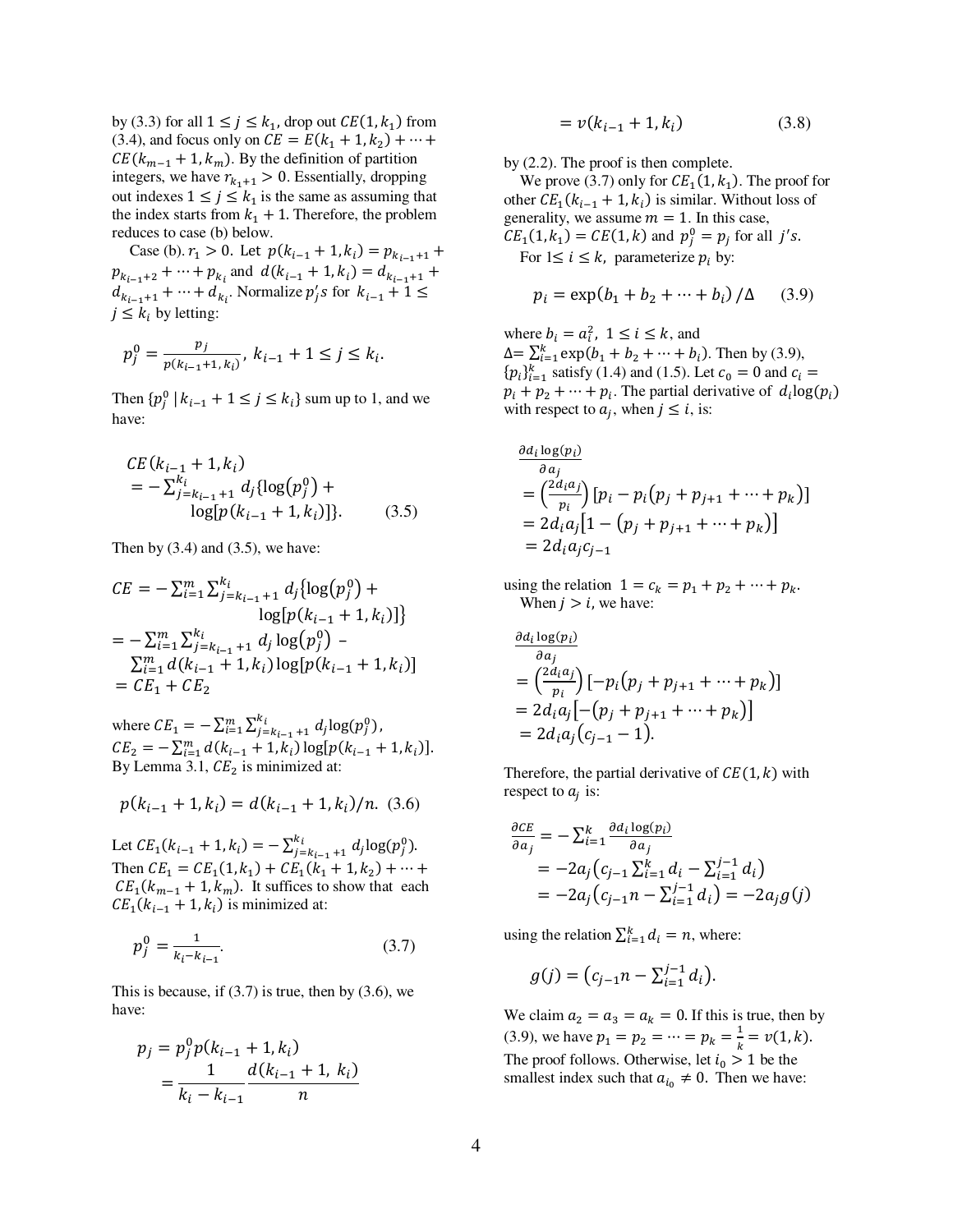by (3.3) for all  $1 \le j \le k_1$ , drop out  $CE(1, k_1)$  from (3.4), and focus only on  $CE = E(k_1 + 1, k_2) + \cdots +$  $CE(k_{m-1} + 1, k_m)$ . By the definition of partition integers, we have  $r_{k_1+1} > 0$ . Essentially, dropping out indexes  $1 \le j \le k_1$  is the same as assuming that the index starts from  $k_1 + 1$ . Therefore, the problem reduces to case (b) below.

Case (b).  $r_1 > 0$ . Let  $p(k_{i-1} + 1, k_i) = p_{k_{i-1}+1} +$  $p_{k_{i-1}+2} + \cdots + p_{k_i}$  and  $d(k_{i-1} + 1, k_i) = d_{k_{i-1}+1} + \cdots$  $d_{k_{i-1}+1} + \cdots + d_{k_i}$ . Normalize  $p'_j s$  for  $k_{i-1} + 1 \leq$  $j \leq k_i$  by letting:

$$
p_j^0 = \frac{p_j}{p(k_{i-1}+1, k_i)}, \ k_{i-1}+1 \le j \le k_i.
$$

Then  $\{p_j^0 | k_{i-1} + 1 \le j \le k_i\}$  sum up to 1, and we have:

$$
CE(k_{i-1} + 1, k_i)
$$
  
=  $-\sum_{j=k_{i-1}+1}^{k_i} d_j \{ \log(p_j^0) + \log(p(k_{i-1} + 1, k_i)) \}.$  (3.5)

Then by  $(3.4)$  and  $(3.5)$ , we have:

$$
CE = -\sum_{i=1}^{m} \sum_{j=k_{i-1}+1}^{k_i} d_j \{ \log(p_j^0) + \log(p_k^0) + \log(p_k^0) \}
$$
  
= 
$$
-\sum_{i=1}^{m} \sum_{j=k_{i-1}+1}^{k_i} d_j \log(p_j^0) - \sum_{i=1}^{m} d(k_{i-1}+1, k_i) \log(p(k_{i-1}+1, k_i))
$$
  
=  $CE_1 + CE_2$ 

where  $CE_1 = -\sum_{i=1}^{m} \sum_{j=k_{i-1}+1}^{k_i} d_j \log(p_j^0)$  $\sum_{i=1}^{m} \sum_{j=k_{i-1}+1}^{\kappa_i} d_j \log(p_j^0)$ ,  $CE_2 = -\sum_{i=1}^{m} d(k_{i-1} + 1, k_i) \log[p(k_{i-1} + 1, k_i)].$ By Lemma 3.1,  $CE_2$  is minimized at:

$$
p(k_{i-1} + 1, k_i) = d(k_{i-1} + 1, k_i)/n.
$$
 (3.6)

Let  $CE_1(k_{i-1} + 1, k_i) = -\sum_{j=k_{i-1}+1}^{k_i} d_j \log(p_j^0)$ . Then  $CE_1 = CE_1(1, k_1) + CE_1(k_1 + 1, k_2) + \cdots +$  $CE_1(k_{m-1} + 1, k_m)$ . It suffices to show that each  $CE_1(k_{i-1} + 1, k_i)$  is minimized at:

$$
p_j^0 = \frac{1}{k_i - k_{i-1}}.\tag{3.7}
$$

This is because, if  $(3.7)$  is true, then by  $(3.6)$ , we have:

$$
p_j = p_j^0 p(k_{i-1} + 1, k_i)
$$
  
= 
$$
\frac{1}{k_i - k_{i-1}} \frac{d(k_{i-1} + 1, k_i)}{n}
$$

$$
= v(k_{i-1} + 1, k_i)
$$
 (3.8)

by (2.2). The proof is then complete.

We prove (3.7) only for  $CE_1(1, k_1)$ . The proof for other  $CE_1(k_{i-1} + 1, k_i)$  is similar. Without loss of generality, we assume  $m = 1$ . In this case,  $CE_1(1, k_1) = CE(1, k)$  and  $p_j^0 = p_j$  for all j's. For  $1 \le i \le k$ , parameterize  $p_i$  by:

$$
p_i = \exp(b_1 + b_2 + \dots + b_i) / \Delta \quad (3.9)
$$

where  $b_i = a_i^2$ ,  $1 \le i \le k$ , and  $\Delta = \sum_{i=1}^{k} \exp(b_1 + b_2 + \dots + b_i)$ . Then by (3.9),  ${p_i}_{i=1}^k$  satisfy (1.4) and (1.5). Let  $c_0 = 0$  and  $c_i =$  $p_i + p_2 + \cdots + p_i$ . The partial derivative of  $d_i \log(p_i)$ with respect to  $a_j$ , when  $j \le i$ , is:

$$
\frac{\partial d_i \log(p_i)}{\partial a_j} \n= \left( \frac{2d_i a_j}{p_i} \right) [p_i - p_i (p_j + p_{j+1} + \dots + p_k)] \n= 2d_i a_j [1 - (p_j + p_{j+1} + \dots + p_k)] \n= 2d_i a_j c_{j-1}
$$

using the relation  $1 = c_k = p_1 + p_2 + \dots + p_k$ . When  $j > i$ , we have:

$$
\frac{\partial d_i \log(p_i)}{\partial a_j} = \left(\frac{2d_i a_j}{p_i}\right) [-p_i(p_j + p_{j+1} + \dots + p_k)]
$$
  
=  $2d_i a_j [-(p_j + p_{j+1} + \dots + p_k)]$   
=  $2d_i a_j (c_{j-1} - 1).$ 

Therefore, the partial derivative of  $CE(1, k)$  with respect to  $a_j$  is:

$$
\frac{\partial CE}{\partial a_j} = -\sum_{i=1}^k \frac{\partial d_i \log(p_i)}{\partial a_j}
$$
  
= -2a\_j(c\_{j-1} \sum\_{i=1}^k d\_i - \sum\_{i=1}^{j-1} d\_i)  
= -2a\_j(c\_{j-1}n - \sum\_{i=1}^{j-1} d\_i) = -2a\_j g(j)

using the relation  $\sum_{i=1}^{k} d_i = n$ , where:

$$
g(j) = (c_{j-1}n - \sum_{i=1}^{j-1} d_i).
$$

We claim  $a_2 = a_3 = a_k = 0$ . If this is true, then by (3.9), we have  $p_1 = p_2 = \dots = p_k = \frac{1}{k}$  $\frac{1}{k} = v(1, k).$ The proof follows. Otherwise, let  $i_0 > 1$  be the smallest index such that  $a_{i_0} \neq 0$ . Then we have: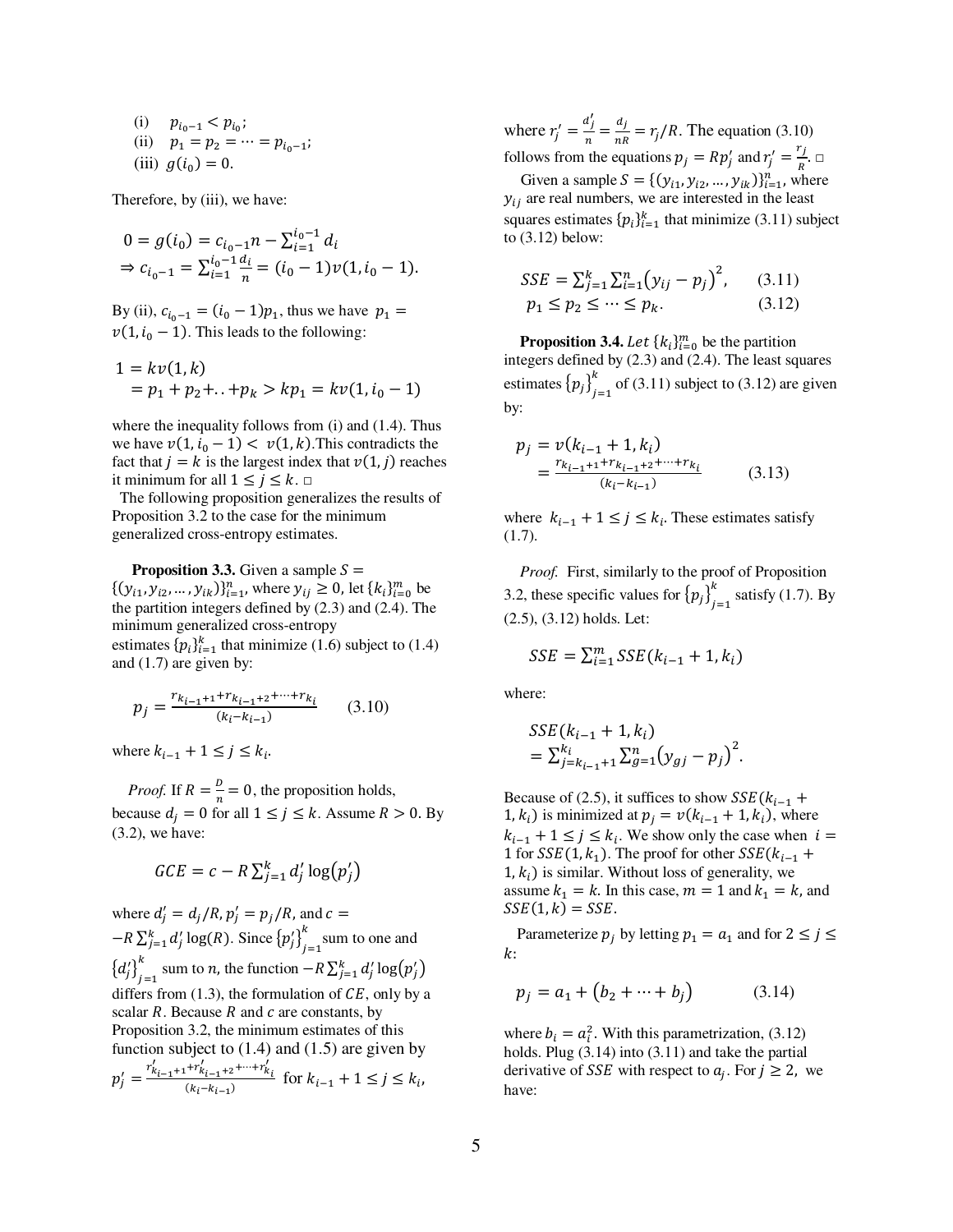(i) 
$$
p_{i_0-1} < p_{i_0}
$$
;  
\n(ii)  $p_1 = p_2 = \dots = p_{i_0-1}$ ;  
\n(iii)  $g(i_0) = 0$ .

Therefore, by (iii), we have:

$$
0 = g(i_0) = c_{i_0 - 1}n - \sum_{i=1}^{i_0 - 1} d_i
$$
  
\n
$$
\Rightarrow c_{i_0 - 1} = \sum_{i=1}^{i_0 - 1} \frac{d_i}{n} = (i_0 - 1)v(1, i_0 - 1).
$$

By (ii),  $c_{i_0-1} = (i_0 - 1)p_1$ , thus we have  $p_1 =$  $v(1, i_0 - 1)$ . This leads to the following:

$$
1 = kv(1, k)
$$
  
=  $p_1 + p_2 + ... + p_k > kp_1 = kv(1, i_0 - 1)$ 

where the inequality follows from (i) and (1.4). Thus we have  $v(1, i_0 - 1) < v(1, k)$ . This contradicts the fact that  $j = k$  is the largest index that  $v(1, j)$  reaches it minimum for all  $1 \leq j \leq k$ .  $\Box$ 

 The following proposition generalizes the results of Proposition 3.2 to the case for the minimum generalized cross-entropy estimates.

**Proposition 3.3.** Given a sample  $S =$ 

 $\{(y_{i1}, y_{i2}, ..., y_{ik})\}_{i=1}^n$ , where  $y_{ij} \ge 0$ , let  $\{k_i\}_{i=0}^m$  be the partition integers defined by (2.3) and (2.4). The minimum generalized cross-entropy estimates  $\{p_i\}_{i=1}^k$  that minimize (1.6) subject to (1.4) and (1.7) are given by:

$$
p_j = \frac{r_{k_{i-1}+1} + r_{k_{i-1}+2} + \dots + r_{k_i}}{(k_i - k_{i-1})}
$$
 (3.10)

where  $k_{i-1} + 1 \le j \le k_i$ .

*Proof.* If  $R = \frac{b}{n} = 0$ , the proposition holds, because  $d_j = 0$  for all  $1 \le j \le k$ . Assume  $R > 0$ . By (3.2), we have:

$$
GCE = c - R \sum_{j=1}^{k} d'_{j} \log(p'_{j})
$$

where  $d'_{j} = d_{j}/R, p'_{j} = p_{j}/R$ , and  $c =$  $-R \sum_{j=1}^{k} d'_j \log(R)$ . Since  $\{p'_j\}_{j=1}^{n}$  $\sum_{i=1}^{k}$  sum to one and  ${d'_j}_{j=1}^n$  $\sum_{j=1}^{k}$  sum to *n*, the function  $-R\sum_{j=1}^{k} d'_j \log(p'_j)$ differs from  $(1.3)$ , the formulation of  $CE$ , only by a scalar  $R$ . Because  $R$  and  $c$  are constants, by Proposition 3.2, the minimum estimates of this function subject to  $(1.4)$  and  $(1.5)$  are given by  $p'_{j} = \frac{r'_{k_{i-1}+1} + r'_{k_{i-1}+2} + \cdots + r'_{k_{i}}}{(k_{i}-k_{i-1})}$  $\frac{k_{i-1}+2}{(k_i-k_{i-1})}$  for  $k_{i-1}+1 \le j \le k_i$ ,

where  $r'_j = \frac{d'_j}{n}$  $\frac{a_j}{n} = \frac{d_j}{nR}$  $\frac{a_j}{nR} = r_j/R$ . The equation (3.10) follows from the equations  $p_j = Rp'_j$  and  $r'_j = \frac{r_j}{R}$  $\frac{1}{R}$ .  $\Box$ Given a sample  $S = \{ (y_{i1}, y_{i2}, ..., y_{ik}) \}_{i=1}^n$ , where  $y_{ii}$  are real numbers, we are interested in the least squares estimates  $\{p_i\}_{i=1}^k$  that minimize (3.11) subject

$$
SSE = \sum_{j=1}^{k} \sum_{i=1}^{n} (y_{ij} - p_j)^2, \qquad (3.11)
$$
  
\n
$$
p_1 \le p_2 \le \dots \le p_k. \qquad (3.12)
$$

**Proposition 3.4.** Let  $\{k_i\}_{i=0}^m$  be the partition integers defined by (2.3) and (2.4). The least squares estimates  ${p_j}_{j=1}^n$  $\sum_{i=1}^{k}$  of (3.11) subject to (3.12) are given by:

$$
p_j = v(k_{i-1} + 1, k_i)
$$
  
= 
$$
\frac{r_{k_{i-1}+1} + r_{k_{i-1}+2} + \dots + r_{k_i}}{(k_i - k_{i-1})}
$$
 (3.13)

where  $k_{i-1} + 1 \le j \le k_i$ . These estimates satisfy (1.7).

 *Proof.* First, similarly to the proof of Proposition 3.2, these specific values for  ${p_j}_{j=1}^n$  $\sum_{i=1}^{k}$  satisfy (1.7). By (2.5), (3.12) holds. Let:

$$
SSE = \sum_{i=1}^{m} SSE(k_{i-1} + 1, k_i)
$$

where:

to (3.12) below:

$$
SSE(k_{i-1} + 1, k_i)
$$
  
=  $\sum_{j=k_{i-1}+1}^{k_i} \sum_{g=1}^{n} (y_{gj} - p_j)^2$ .

Because of (2.5), it suffices to show  $SSE(k_{i-1} +$ 1,  $k_i$ ) is minimized at  $p_j = v(k_{i-1} + 1, k_i)$ , where  $k_{i-1} + 1 \le j \le k_i$ . We show only the case when  $i =$ 1 for  $SSE(1, k_1)$ . The proof for other  $SSE(k_{i-1} +$  $1, k_i$ ) is similar. Without loss of generality, we assume  $k_1 = k$ . In this case,  $m = 1$  and  $k_1 = k$ , and  $SSE(1, k) = SSE$ .

Parameterize  $p_j$  by letting  $p_1 = a_1$  and for  $2 \le j \le n$  $k$ :

$$
p_j = a_1 + (b_2 + \dots + b_j) \tag{3.14}
$$

where  $b_i = a_i^2$ . With this parametrization, (3.12) holds. Plug (3.14) into (3.11) and take the partial derivative of *SSE* with respect to  $a_j$ . For  $j \ge 2$ , we have: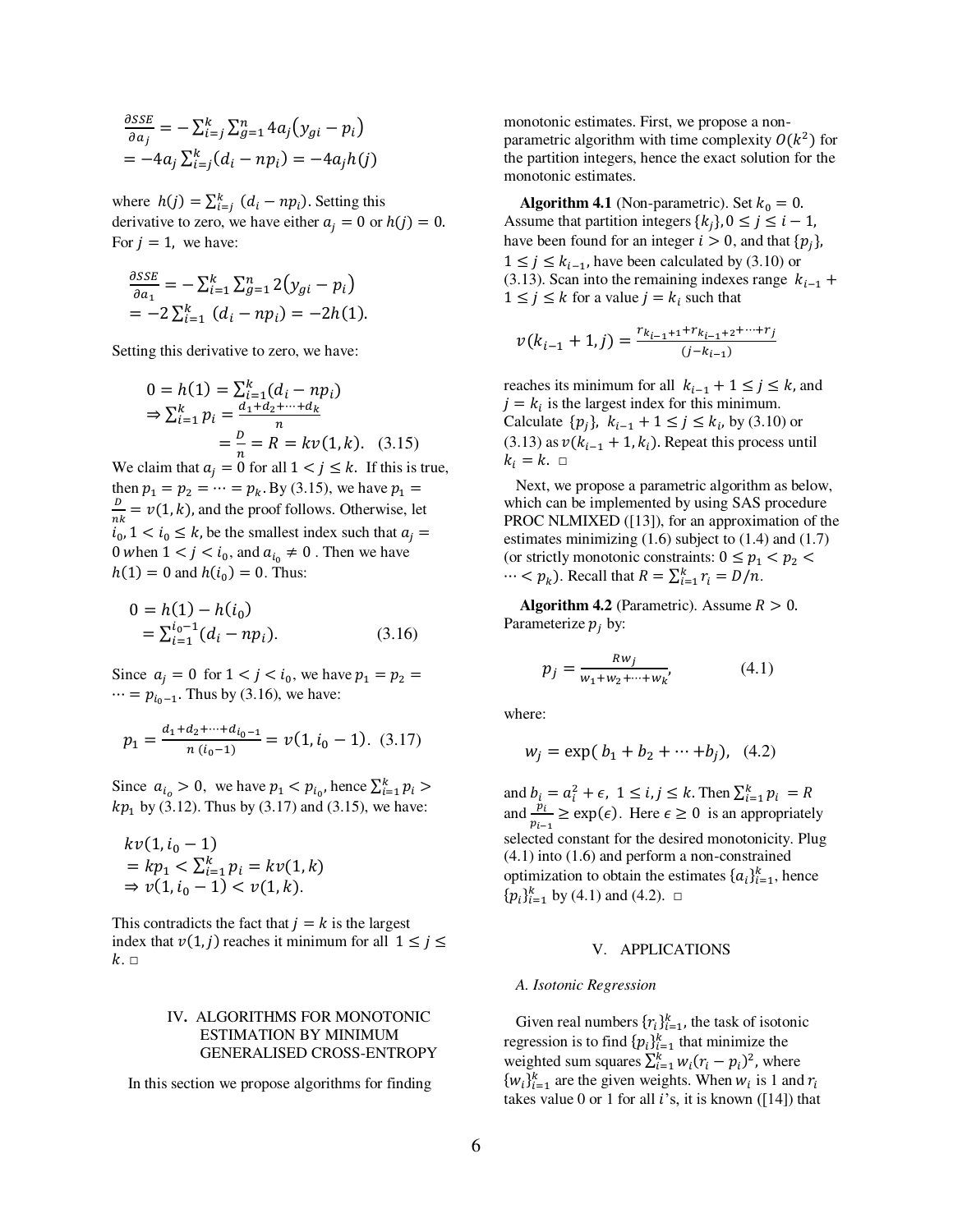$$
\frac{\partial SSE}{\partial a_j} = -\sum_{i=j}^{k} \sum_{g=1}^{n} 4a_j (y_{gi} - p_i)
$$
  
= -4a<sub>j</sub>  $\sum_{i=j}^{k} (d_i - np_i) = -4a_j h(j)$ 

where  $h(j) = \sum_{i=j}^{k} (d_i - np_i)$ . Setting this derivative to zero, we have either  $a_i = 0$  or  $h(j) = 0$ . For  $j = 1$ , we have:

$$
\frac{\partial SSE}{\partial a_1} = -\sum_{i=1}^k \sum_{g=1}^n 2(y_{gi} - p_i)
$$
  
= -2 $\sum_{i=1}^k (d_i - np_i) = -2h(1)$ .

Setting this derivative to zero, we have:

$$
0 = h(1) = \sum_{i=1}^{k} (d_i - np_i)
$$
  
\n
$$
\Rightarrow \sum_{i=1}^{k} p_i = \frac{d_1 + d_2 + \dots + d_k}{n}
$$
  
\n
$$
= \frac{D}{n} = R = kv(1, k). \quad (3.15)
$$

We claim that  $a_j = 0$  for all  $1 < j \le k$ . If this is true, then  $p_1 = p_2 = \dots = p_k$ . By (3.15), we have  $p_1 =$  $\frac{D}{2}$  $\frac{E}{nk} = v(1, k)$ , and the proof follows. Otherwise, let  $i_0$ ,  $1 < i_0 \leq k$ , be the smallest index such that  $a_j =$ 0 when  $1 < j < i_0$ , and  $a_{i_0} \neq 0$ . Then we have  $h(1) = 0$  and  $h(i_0) = 0$ . Thus:

$$
0 = h(1) - h(i_0)
$$
  
=  $\sum_{i=1}^{i_0 - 1} (d_i - np_i).$  (3.16)

Since  $a_j = 0$  for  $1 < j < i_0$ , we have  $p_1 = p_2 =$  $\cdots = p_{i_0-1}$ . Thus by (3.16), we have:

$$
p_1 = \frac{d_1 + d_2 + \dots + d_{i_0 - 1}}{n(i_0 - 1)} = \nu(1, i_0 - 1). \tag{3.17}
$$

Since  $a_{i_o} > 0$ , we have  $p_1 < p_{i_0}$ , hence  $\sum_{i=1}^{k} p_i >$  $kp_1$  by (3.12). Thus by (3.17) and (3.15), we have:

$$
kv(1, i_0 - 1)
$$
  
=  $kp_1 < \sum_{i=1}^k p_i = kv(1, k)$   
 $\Rightarrow v(1, i_0 - 1) < v(1, k).$ 

This contradicts the fact that  $j = k$  is the largest index that  $v(1, j)$  reaches it minimum for all  $1 \le j \le k$  $k. \Box$ 

# IV**.** ALGORITHMS FOR MONOTONIC ESTIMATION BY MINIMUM GENERALISED CROSS-ENTROPY

In this section we propose algorithms for finding

monotonic estimates. First, we propose a nonparametric algorithm with time complexity  $O(k^2)$  for the partition integers, hence the exact solution for the monotonic estimates.

**Algorithm 4.1** (Non-parametric). Set  $k_0 = 0$ . Assume that partition integers  $\{k_j\}$ ,  $0 \le j \le i - 1$ , have been found for an integer  $i > 0$ , and that  $\{p_j\}$ ,  $1 \leq j \leq k_{i-1}$ , have been calculated by (3.10) or (3.13). Scan into the remaining indexes range  $k_{i-1}$  +  $1 \leq j \leq k$  for a value  $j = k_i$  such that

$$
v(k_{i-1}+1,j) = \frac{r_{k_{i-1}+1} + r_{k_{i-1}+2} + \dots + r_j}{(j-k_{i-1})}
$$

reaches its minimum for all  $k_{i-1} + 1 \le j \le k$ , and  $j = k_i$  is the largest index for this minimum. Calculate  $\{p_j\}$ ,  $k_{i-1} + 1 \le j \le k_i$ , by (3.10) or (3.13) as  $v(k_{i-1} + 1, k_i)$ . Repeat this process until  $k_i = k$ .  $\Box$ 

 Next, we propose a parametric algorithm as below, which can be implemented by using SAS procedure PROC NLMIXED ([13]), for an approximation of the estimates minimizing (1.6) subject to (1.4) and (1.7) (or strictly monotonic constraints:  $0 \le p_1 < p_2$  $\cdots < p_k$ ). Recall that  $R = \sum_{i=1}^{k} r_i = D/n$ .

**Algorithm 4.2** (Parametric). Assume  $R > 0$ . Parameterize  $p_j$  by:

$$
p_j = \frac{Rw_j}{w_1 + w_2 + \dots + w_k},\tag{4.1}
$$

where:

$$
w_j = \exp(b_1 + b_2 + \dots + b_j), \quad (4.2)
$$

and  $b_i = a_i^2 + \epsilon$ ,  $1 \le i, j \le k$ . Then  $\sum_{i=1}^k p_i = R$ and  $\frac{p_i}{p_{i-1}} \ge \exp(\epsilon)$ . Here  $\epsilon \ge 0$  is an appropriately selected constant for the desired monotonicity. Plug (4.1) into (1.6) and perform a non-constrained optimization to obtain the estimates  $\{a_i\}_{i=1}^k$ , hence  ${p_i}_{i=1}^k$  by (4.1) and (4.2).  $\square$ 

# V. APPLICATIONS

#### *A. Isotonic Regression*

Given real numbers  $\{r_i\}_{i=1}^k$ , the task of isotonic regression is to find  $\{p_i\}_{i=1}^k$  that minimize the weighted sum squares  $\sum_{i=1}^{k} w_i (r_i - p_i)^2$ , where  $\{w_i\}_{i=1}^k$  are the given weights. When  $w_i$  is 1 and  $r_i$ takes value 0 or 1 for all  $i$ 's, it is known ([14]) that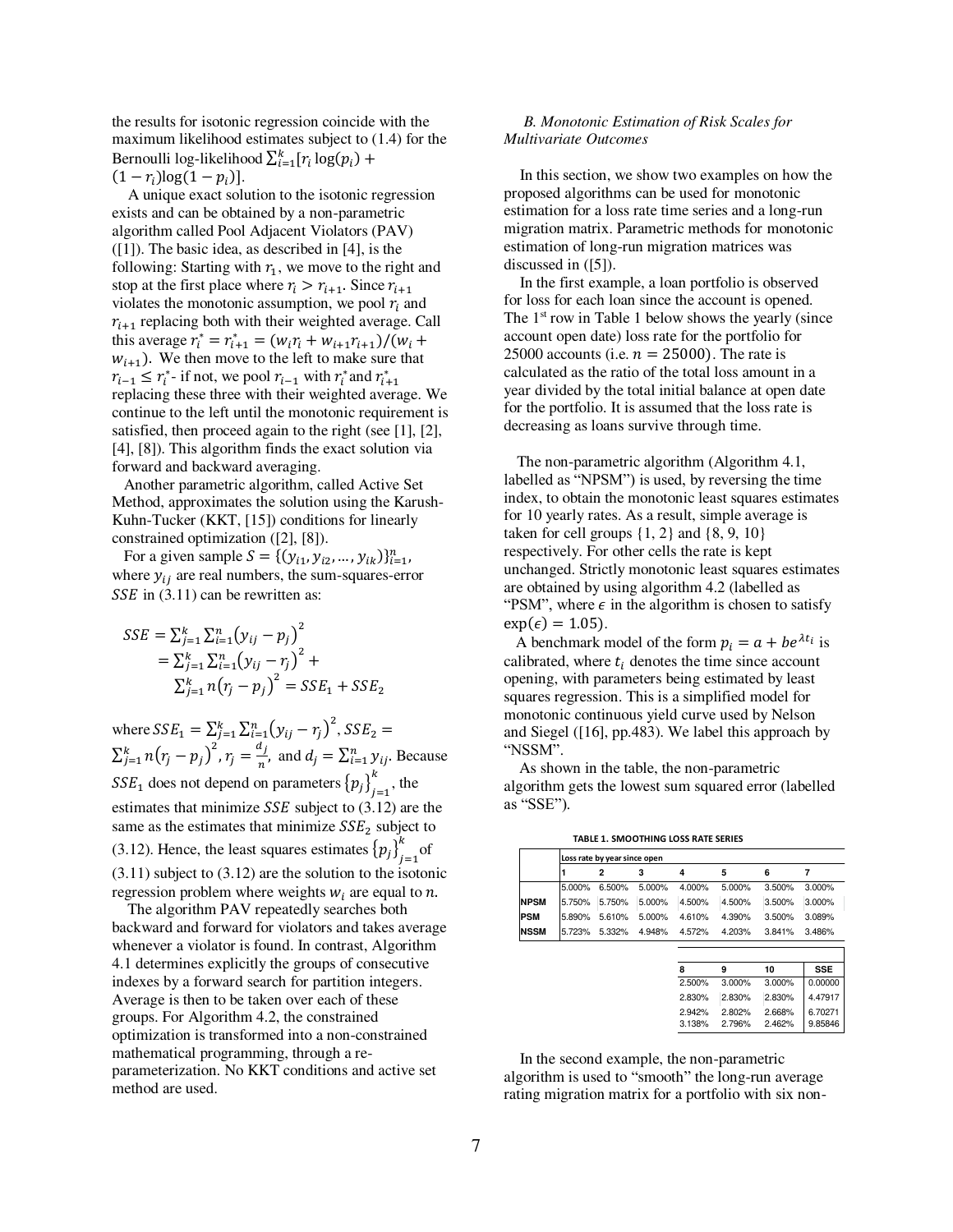the results for isotonic regression coincide with the maximum likelihood estimates subject to (1.4) for the Bernoulli log-likelihood  $\sum_{i=1}^{k} [r_i \log(p_i) +$ 

 $(1 - r_i) \log(1 - p_i)$ .

 A unique exact solution to the isotonic regression exists and can be obtained by a non-parametric algorithm called Pool Adjacent Violators (PAV) ([1]). The basic idea, as described in [4], is the following: Starting with  $r_1$ , we move to the right and stop at the first place where  $r_i > r_{i+1}$ . Since  $r_{i+1}$ violates the monotonic assumption, we pool  $r_i$  and  $r_{i+1}$  replacing both with their weighted average. Call this average  $r_i^* = r_{i+1}^* = (w_i r_i + w_{i+1} r_{i+1})/(w_i +$  $w_{i+1}$ ). We then move to the left to make sure that  $r_{i-1} \leq r_i^*$ - if not, we pool  $r_{i-1}$  with  $r_i^*$  and  $r_{i+1}^*$ replacing these three with their weighted average. We continue to the left until the monotonic requirement is satisfied, then proceed again to the right (see [1], [2], [4], [8]). This algorithm finds the exact solution via forward and backward averaging.

 Another parametric algorithm, called Active Set Method, approximates the solution using the Karush-Kuhn-Tucker (KKT, [15]) conditions for linearly constrained optimization ([2], [8]).

For a given sample  $S = \{ (y_{i1}, y_{i2}, ..., y_{ik}) \}_{i=1}^n$ , where  $y_{ij}$  are real numbers, the sum-squares-error  $SSE$  in (3.11) can be rewritten as:

$$
SSE = \sum_{j=1}^{k} \sum_{i=1}^{n} (y_{ij} - p_j)^2
$$
  
=  $\sum_{j=1}^{k} \sum_{i=1}^{n} (y_{ij} - r_j)^2$  +  
 $\sum_{j=1}^{k} n(r_j - p_j)^2 = SSE_1 + SSE_2$ 

where  $SSE_1 = \sum_{j=1}^{k} \sum_{i=1}^{n} (y_{ij} - r_j)^2$ ,  $SSE_2 =$  $\sum_{j=1}^k n(r_j-p_j)^2$ ,  $r_j=\frac{a_j}{n}$  $\frac{y}{n}$ , and  $d_j = \sum_{i=1}^n y_{ij}$ . Because  $SSE_1$  does not depend on parameters  ${p_j}_{j=1}^n$  $\frac{k}{t-1}$ , the estimates that minimize  $SSE$  subject to  $(3.12)$  are the same as the estimates that minimize  $SSE<sub>2</sub>$  subject to (3.12). Hence, the least squares estimates  ${p_j}_{j=1}^n$  $\int_{0}^{k}$  of (3.11) subject to (3.12) are the solution to the isotonic regression problem where weights  $w_i$  are equal to *n*.

 The algorithm PAV repeatedly searches both backward and forward for violators and takes average whenever a violator is found. In contrast, Algorithm 4.1 determines explicitly the groups of consecutive indexes by a forward search for partition integers. Average is then to be taken over each of these groups. For Algorithm 4.2, the constrained optimization is transformed into a non-constrained mathematical programming, through a reparameterization. No KKT conditions and active set method are used.

## *B. Monotonic Estimation of Risk Scales for Multivariate Outcomes*

 In this section, we show two examples on how the proposed algorithms can be used for monotonic estimation for a loss rate time series and a long-run migration matrix. Parametric methods for monotonic estimation of long-run migration matrices was discussed in ([5]).

 In the first example, a loan portfolio is observed for loss for each loan since the account is opened. The  $1<sup>st</sup>$  row in Table 1 below shows the yearly (since account open date) loss rate for the portfolio for 25000 accounts (i.e.  $n = 25000$ ). The rate is calculated as the ratio of the total loss amount in a year divided by the total initial balance at open date for the portfolio. It is assumed that the loss rate is decreasing as loans survive through time.

 The non-parametric algorithm (Algorithm 4.1, labelled as "NPSM") is used, by reversing the time index, to obtain the monotonic least squares estimates for 10 yearly rates. As a result, simple average is taken for cell groups  $\{1, 2\}$  and  $\{8, 9, 10\}$ respectively. For other cells the rate is kept unchanged. Strictly monotonic least squares estimates are obtained by using algorithm 4.2 (labelled as "PSM", where  $\epsilon$  in the algorithm is chosen to satisfy  $\exp(\epsilon) = 1.05$ ).

A benchmark model of the form  $p_i = a + be^{\lambda t_i}$  is calibrated, where  $t_i$  denotes the time since account opening, with parameters being estimated by least squares regression. This is a simplified model for monotonic continuous yield curve used by Nelson and Siegel ([16], pp.483). We label this approach by "NSSM".

As shown in the table, the non-parametric algorithm gets the lowest sum squared error (labelled as "SSE").

 **TABLE 1. SMOOTHING LOSS RATE SERIES**

|             |        | Loss rate by year since open |        |        |        |        |        |  |
|-------------|--------|------------------------------|--------|--------|--------|--------|--------|--|
|             |        |                              | з      | 4      | 5      | 6      |        |  |
|             | 5.000% | 6.500%                       | 5.000% | 4.000% | 5.000% | 3.500% | 3.000% |  |
| <b>NPSM</b> | 5.750% | 5.750%                       | 5.000% | 4.500% | 4.500% | 3.500% | 3.000% |  |
| <b>PSM</b>  | 5.890% | 5.610%                       | 5.000% | 4.610% | 4.390% | 3.500% | 3.089% |  |
| <b>NSSM</b> | 5.723% | 5.332%                       | 4.948% | 4.572% | 4.203% | 3.841% | 3.486% |  |
|             |        |                              |        |        |        |        |        |  |

| ឧ      |        | 10     | <b>SSE</b> |
|--------|--------|--------|------------|
| 2.500% | 3.000% | 3.000% | 0.00000    |
| 2.830% | 2.830% | 2.830% | 4.47917    |
| 2.942% | 2.802% | 2.668% | 6.70271    |
| 3.138% | 2.796% | 2.462% | 9.85846    |

 In the second example, the non-parametric algorithm is used to "smooth" the long-run average rating migration matrix for a portfolio with six non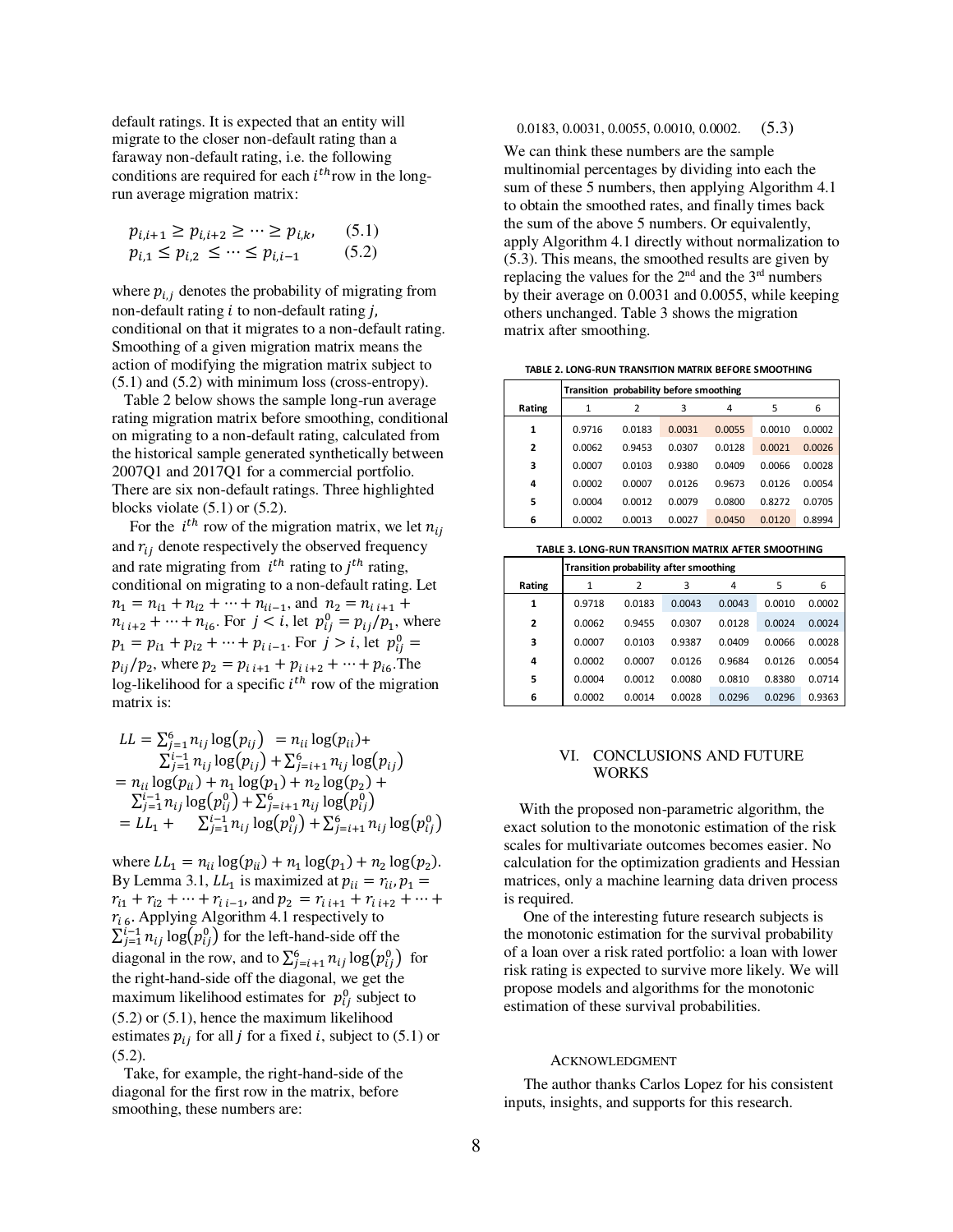default ratings. It is expected that an entity will migrate to the closer non-default rating than a faraway non-default rating, i.e. the following conditions are required for each  $i^{th}$  row in the longrun average migration matrix:

$$
p_{i,i+1} \ge p_{i,i+2} \ge \dots \ge p_{i,k}, \qquad (5.1)
$$
  

$$
p_{i,1} \le p_{i,2} \le \dots \le p_{i,i-1} \qquad (5.2)
$$

where  $p_{i,i}$  denotes the probability of migrating from non-default rating  $i$  to non-default rating  $j$ , conditional on that it migrates to a non-default rating. Smoothing of a given migration matrix means the action of modifying the migration matrix subject to (5.1) and (5.2) with minimum loss (cross-entropy).

 Table 2 below shows the sample long-run average rating migration matrix before smoothing, conditional on migrating to a non-default rating, calculated from the historical sample generated synthetically between 2007Q1 and 2017Q1 for a commercial portfolio. There are six non-default ratings. Three highlighted blocks violate (5.1) or (5.2).

For the  $i^{th}$  row of the migration matrix, we let  $n_{ij}$ and  $r_{ij}$  denote respectively the observed frequency and rate migrating from  $i^{th}$  rating to  $j^{th}$  rating, conditional on migrating to a non-default rating. Let  $n_1 = n_{i1} + n_{i2} + \cdots + n_{ii-1}$ , and  $n_2 = n_{i,i+1} +$  $n_{i,i+2} + \cdots + n_{i6}$ . For  $j < i$ , let  $p_{ij}^0 = p_{ij}/p_1$ , where  $p_1 = p_{i1} + p_{i2} + \dots + p_{i i-1}$ . For  $j > i$ , let  $p_{ij}^0 =$  $p_{ij}/p_2$ , where  $p_2 = p_{i,i+1} + p_{i,i+2} + \cdots + p_{i6}$ . The log-likelihood for a specific  $i^{th}$  row of the migration matrix is:

$$
LL = \sum_{j=1}^{6} n_{ij} \log(p_{ij}) = n_{ii} \log(p_{ii}) +
$$
  
\n
$$
\sum_{j=1}^{i-1} n_{ij} \log(p_{ij}) + \sum_{j=i+1}^{6} n_{ij} \log(p_{ij})
$$
  
\n
$$
= n_{ii} \log(p_{ii}) + n_{1} \log(p_{1}) + n_{2} \log(p_{2}) +
$$
  
\n
$$
\sum_{j=1}^{i-1} n_{ij} \log(p_{ij}^{0}) + \sum_{j=i+1}^{6} n_{ij} \log(p_{ij}^{0}) +
$$
  
\n
$$
= LL_{1} + \sum_{j=1}^{i-1} n_{ij} \log(p_{ij}^{0}) + \sum_{j=i+1}^{6} n_{ij} \log(p_{ij}^{0})
$$

where  $LL_1 = n_{ii} \log(p_{ii}) + n_1 \log(p_1) + n_2 \log(p_2)$ . By Lemma 3.1,  $LL_1$  is maximized at  $p_{ii} = r_{ii}$ ,  $p_1 =$  $r_{i1} + r_{i2} + \dots + r_{i i-1}$ , and  $p_2 = r_{i i+1} + r_{i i+2} + \dots$  $r_{16}$ . Applying Algorithm 4.1 respectively to  $\sum_{j=1}^{i-1} n_{ij} \log(p_{ij}^0)$  for the left-hand-side off the diagonal in the row, and to  $\sum_{j=i+1}^{6} n_{ij} \log(p_{ij}^{0})$  for the right-hand-side off the diagonal, we get the maximum likelihood estimates for  $p_{ij}^0$  subject to (5.2) or (5.1), hence the maximum likelihood estimates  $p_{ij}$  for all *j* for a fixed *i*, subject to (5.1) or (5.2).

 Take, for example, the right-hand-side of the diagonal for the first row in the matrix, before smoothing, these numbers are:

# 0.0183, 0.0031, 0.0055, 0.0010, 0.0002. (5.3)

We can think these numbers are the sample multinomial percentages by dividing into each the sum of these 5 numbers, then applying Algorithm 4.1 to obtain the smoothed rates, and finally times back the sum of the above 5 numbers. Or equivalently, apply Algorithm 4.1 directly without normalization to (5.3). This means, the smoothed results are given by replacing the values for the  $2<sup>nd</sup>$  and the  $3<sup>rd</sup>$  numbers by their average on 0.0031 and 0.0055, while keeping others unchanged. Table 3 shows the migration matrix after smoothing.

 **TABLE 2. LONG-RUN TRANSITION MATRIX BEFORE SMOOTHING** 

|                | Transition probability before smoothing |        |        |        |        |        |  |
|----------------|-----------------------------------------|--------|--------|--------|--------|--------|--|
| Rating         | 1                                       | 2      | 3      | 4      | 5      | 6      |  |
| $\mathbf{1}$   | 0.9716                                  | 0.0183 | 0.0031 | 0.0055 | 0.0010 | 0.0002 |  |
| $\overline{2}$ | 0.0062                                  | 0.9453 | 0.0307 | 0.0128 | 0.0021 | 0.0026 |  |
| 3              | 0.0007                                  | 0.0103 | 0.9380 | 0.0409 | 0.0066 | 0.0028 |  |
| 4              | 0.0002                                  | 0.0007 | 0.0126 | 0.9673 | 0.0126 | 0.0054 |  |
| 5              | 0.0004                                  | 0.0012 | 0.0079 | 0.0800 | 0.8272 | 0.0705 |  |
| 6              | 0.0002                                  | 0.0013 | 0.0027 | 0.0450 | 0.0120 | 0.8994 |  |
|                |                                         |        |        |        |        |        |  |

 **TABLE 3. LONG-RUN TRANSITION MATRIX AFTER SMOOTHING**

|                | Transition probability after smoothing |        |        |        |        |        |  |
|----------------|----------------------------------------|--------|--------|--------|--------|--------|--|
| Rating         |                                        | 2      | 3      | 4      | 5      | 6      |  |
| 1              | 0.9718                                 | 0.0183 | 0.0043 | 0.0043 | 0.0010 | 0.0002 |  |
| $\overline{2}$ | 0.0062                                 | 0.9455 | 0.0307 | 0.0128 | 0.0024 | 0.0024 |  |
| 3              | 0.0007                                 | 0.0103 | 0.9387 | 0.0409 | 0.0066 | 0.0028 |  |
| 4              | 0.0002                                 | 0.0007 | 0.0126 | 0.9684 | 0.0126 | 0.0054 |  |
| 5              | 0.0004                                 | 0.0012 | 0.0080 | 0.0810 | 0.8380 | 0.0714 |  |
| 6              | 0.0002                                 | 0.0014 | 0.0028 | 0.0296 | 0.0296 | 0.9363 |  |

#### VI. CONCLUSIONS AND FUTURE **WORKS**

With the proposed non-parametric algorithm, the exact solution to the monotonic estimation of the risk scales for multivariate outcomes becomes easier. No calculation for the optimization gradients and Hessian matrices, only a machine learning data driven process is required.

 One of the interesting future research subjects is the monotonic estimation for the survival probability of a loan over a risk rated portfolio: a loan with lower risk rating is expected to survive more likely. We will propose models and algorithms for the monotonic estimation of these survival probabilities.

#### ACKNOWLEDGMENT

The author thanks Carlos Lopez for his consistent inputs, insights, and supports for this research.